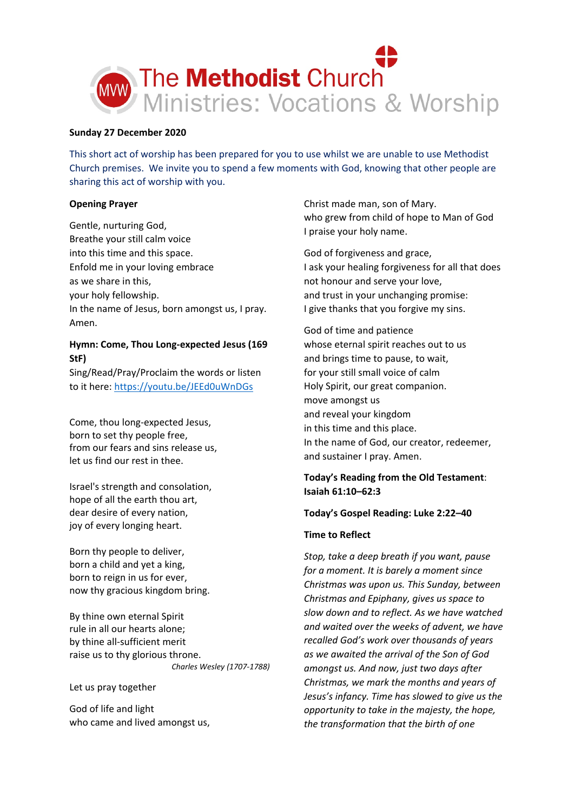

## **Sunday 27 December 2020**

This short act of worship has been prepared for you to use whilst we are unable to use Methodist Church premises. We invite you to spend a few moments with God, knowing that other people are sharing this act of worship with you.

## **Opening Prayer**

Gentle, nurturing God, Breathe your still calm voice into this time and this space. Enfold me in your loving embrace as we share in this, your holy fellowship. In the name of Jesus, born amongst us, I pray. Amen.

# **Hymn: Come, Thou Long-expected Jesus (169 StF)**

Sing/Read/Pray/Proclaim the words or listen to it here[: https://youtu.be/JEEd0uWnDGs](https://youtu.be/JEEd0uWnDGs)

Come, thou long-expected Jesus, born to set thy people free, from our fears and sins release us, let us find our rest in thee.

Israel's strength and consolation, hope of all the earth thou art, dear desire of every nation, joy of every longing heart.

Born thy people to deliver, born a child and yet a king, born to reign in us for ever, now thy gracious kingdom bring.

By thine own eternal Spirit rule in all our hearts alone; by thine all-sufficient merit raise us to thy glorious throne. *Charles Wesley (1707-1788)*

Let us pray together

God of life and light who came and lived amongst us,

Christ made man, son of Mary. who grew from child of hope to Man of God I praise your holy name.

God of forgiveness and grace, I ask your healing forgiveness for all that does not honour and serve your love, and trust in your unchanging promise: I give thanks that you forgive my sins.

God of time and patience whose eternal spirit reaches out to us and brings time to pause, to wait, for your still small voice of calm Holy Spirit, our great companion. move amongst us and reveal your kingdom in this time and this place. In the name of God, our creator, redeemer, and sustainer I pray. Amen.

# **Today's Reading from the Old Testament**: **Isaiah 61:10–62:3**

## **Today's Gospel Reading: Luke 2:22–40**

## **Time to Reflect**

*Stop, take a deep breath if you want, pause for a moment. It is barely a moment since Christmas was upon us. This Sunday, between Christmas and Epiphany, gives us space to slow down and to reflect. As we have watched and waited over the weeks of advent, we have recalled God's work over thousands of years as we awaited the arrival of the Son of God amongst us. And now, just two days after Christmas, we mark the months and years of Jesus's infancy. Time has slowed to give us the opportunity to take in the majesty, the hope, the transformation that the birth of one*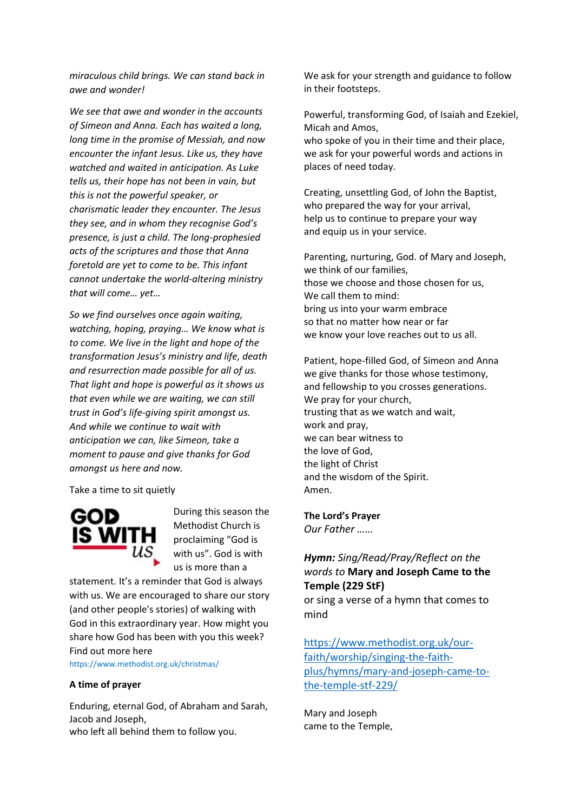*miraculous child brings. We can stand back in awe and wonder!*

*We see that awe and wonder in the accounts of Simeon and Anna. Each has waited a long, long time in the promise of Messiah, and now encounter the infant Jesus. Like us, they have watched and waited in anticipation. As Luke tells us, their hope has not been in vain, but this is not the powerful speaker, or charismatic leader they encounter. The Jesus they see, and in whom they recognise God's presence, is just a child. The long-prophesied acts of the scriptures and those that Anna foretold are yet to come to be. This infant cannot undertake the world-altering ministry that will come… yet…*

*So we find ourselves once again waiting, watching, hoping, praying… We know what is to come. We live in the light and hope of the transformation Jesus's ministry and life, death and resurrection made possible for all of us. That light and hope is powerful as it shows us that even while we are waiting, we can still trust in God's life-giving spirit amongst us. And while we continue to wait with anticipation we can, like Simeon, take a moment to pause and give thanks for God amongst us here and now.*

Take a time to sit quietly



During this season the Methodist Church is proclaiming "God is with us". God is with us is more than a

statement. It's a reminder that God is always with us. We are encouraged to share our story (and other people's stories) of walking with God in this extraordinary year. How might you share how God has been with you this week? Find out more here

https://www.methodist.org.uk/christmas/

## **A time of prayer**

Enduring, eternal God, of Abraham and Sarah, Jacob and Joseph, who left all behind them to follow you.

We ask for your strength and guidance to follow in their footsteps.

Powerful, transforming God, of Isaiah and Ezekiel, Micah and Amos,

who spoke of you in their time and their place, we ask for your powerful words and actions in places of need today.

Creating, unsettling God, of John the Baptist, who prepared the way for your arrival, help us to continue to prepare your way and equip us in your service.

Parenting, nurturing, God. of Mary and Joseph, we think of our families, those we choose and those chosen for us, We call them to mind: bring us into your warm embrace so that no matter how near or far we know your love reaches out to us all.

Patient, hope-filled God, of Simeon and Anna we give thanks for those whose testimony, and fellowship to you crosses generations. We pray for your church, trusting that as we watch and wait, work and pray, we can bear witness to the love of God, the light of Christ and the wisdom of the Spirit. Amen.

## **The Lord's Prayer**

*Our Father ……*

# *Hymn: Sing/Read/Pray/Reflect on the words to* **Mary and Joseph Came to the Temple (229 StF)**

or sing a verse of a hymn that comes to mind

[https://www.methodist.org.uk/our](https://www.methodist.org.uk/our-faith/worship/singing-the-faith-plus/hymns/mary-and-joseph-came-to-the-temple-stf-229/)[faith/worship/singing-the-faith](https://www.methodist.org.uk/our-faith/worship/singing-the-faith-plus/hymns/mary-and-joseph-came-to-the-temple-stf-229/)[plus/hymns/mary-and-joseph-came-to](https://www.methodist.org.uk/our-faith/worship/singing-the-faith-plus/hymns/mary-and-joseph-came-to-the-temple-stf-229/)[the-temple-stf-229/](https://www.methodist.org.uk/our-faith/worship/singing-the-faith-plus/hymns/mary-and-joseph-came-to-the-temple-stf-229/)

Mary and Joseph came to the Temple,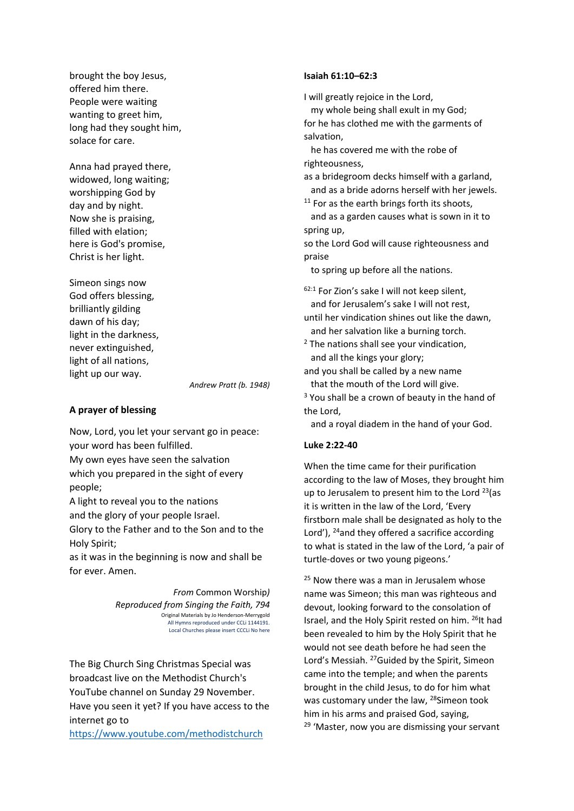brought the boy Jesus, offered him there. People were waiting wanting to greet him, long had they sought him, solace for care.

Anna had prayed there, widowed, long waiting; worshipping God by day and by night. Now she is praising, filled with elation; here is God's promise, Christ is her light.

Simeon sings now God offers blessing, brilliantly gilding dawn of his day; light in the darkness, never extinguished, light of all nations, light up our way.

*Andrew Pratt (b. 1948)*

## **A prayer of blessing**

Now, Lord, you let your servant go in peace: your word has been fulfilled. My own eyes have seen the salvation which you prepared in the sight of every people;

A light to reveal you to the nations and the glory of your people Israel.

Glory to the Father and to the Son and to the Holy Spirit;

as it was in the beginning is now and shall be for ever. Amen.

> *From* Common Worship*) Reproduced from Singing the Faith, 794* Original Materials by Jo Henderson-Merrygold All Hymns reproduced under CCLi 1144191. Local Churches please insert CCCLi No here

The Big Church Sing Christmas Special was broadcast live on the Methodist Church's YouTube channel on Sunday 29 November. Have you seen it yet? If you have access to the internet go to

<https://www.youtube.com/methodistchurch>

#### **Isaiah 61:10–62:3**

I will greatly rejoice in the Lord, my whole being shall exult in my God; for he has clothed me with the garments of salvation,

 he has covered me with the robe of righteousness,

as a bridegroom decks himself with a garland, and as a bride adorns herself with her jewels.

 $11$  For as the earth brings forth its shoots, and as a garden causes what is sown in it to

spring up,

so the Lord God will cause righteousness and praise

to spring up before all the nations.

62:1 For Zion's sake I will not keep silent, and for Jerusalem's sake I will not rest,

until her vindication shines out like the dawn, and her salvation like a burning torch.

<sup>2</sup> The nations shall see your vindication, and all the kings your glory;

and you shall be called by a new name that the mouth of the Lord will give.

 $3$  You shall be a crown of beauty in the hand of the Lord,

and a royal diadem in the hand of your God.

### **Luke 2:22-40**

When the time came for their purification according to the law of Moses, they brought him up to Jerusalem to present him to the Lord  $23$ (as it is written in the law of the Lord, 'Every firstborn male shall be designated as holy to the Lord'), <sup>24</sup>and they offered a sacrifice according to what is stated in the law of the Lord, 'a pair of turtle-doves or two young pigeons.'

 $25$  Now there was a man in Jerusalem whose name was Simeon; this man was righteous and devout, looking forward to the consolation of Israel, and the Holy Spirit rested on him. <sup>26</sup>It had been revealed to him by the Holy Spirit that he would not see death before he had seen the Lord's Messiah. 27Guided by the Spirit, Simeon came into the temple; and when the parents brought in the child Jesus, to do for him what was customary under the law, <sup>28</sup>Simeon took him in his arms and praised God, saying,  $29$  'Master, now you are dismissing your servant